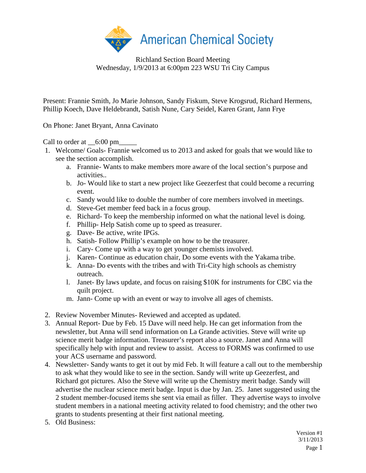

Richland Section Board Meeting Wednesday, 1/9/2013 at 6:00pm 223 WSU Tri City Campus

Present: Frannie Smith, Jo Marie Johnson, Sandy Fiskum, Steve Krogsrud, Richard Hermens, Phillip Koech, Dave Heldebrandt, Satish Nune, Cary Seidel, Karen Grant, Jann Frye

On Phone: Janet Bryant, Anna Cavinato

Call to order at  $\__6:00 \text{ pm}$ 

- 1. Welcome/ Goals- Frannie welcomed us to 2013 and asked for goals that we would like to see the section accomplish.
	- a. Frannie- Wants to make members more aware of the local section's purpose and activities..
	- b. Jo- Would like to start a new project like Geezerfest that could become a recurring event.
	- c. Sandy would like to double the number of core members involved in meetings.
	- d. Steve-Get member feed back in a focus group.
	- e. Richard- To keep the membership informed on what the national level is doing.
	- f. Phillip- Help Satish come up to speed as treasurer.
	- g. Dave- Be active, write IPGs.
	- h. Satish- Follow Phillip's example on how to be the treasurer.
	- i. Cary- Come up with a way to get younger chemists involved.
	- j. Karen- Continue as education chair, Do some events with the Yakama tribe.
	- k. Anna- Do events with the tribes and with Tri-City high schools as chemistry outreach.
	- l. Janet- By laws update, and focus on raising \$10K for instruments for CBC via the quilt project.
	- m. Jann- Come up with an event or way to involve all ages of chemists.
- 2. Review November Minutes- Reviewed and accepted as updated.
- 3. Annual Report- Due by Feb. 15 Dave will need help. He can get information from the newsletter, but Anna will send information on La Grande activities. Steve will write up science merit badge information. Treasurer's report also a source. Janet and Anna will specifically help with input and review to assist. Access to FORMS was confirmed to use your ACS username and password.
- 4. Newsletter- Sandy wants to get it out by mid Feb. It will feature a call out to the membership to ask what they would like to see in the section. Sandy will write up Geezerfest, and Richard got pictures. Also the Steve will write up the Chemistry merit badge. Sandy will advertise the nuclear science merit badge. Input is due by Jan. 25. Janet suggested using the 2 student member-focused items she sent via email as filler. They advertise ways to involve student members in a national meeting activity related to food chemistry; and the other two grants to students presenting at their first national meeting.
- 5. Old Business: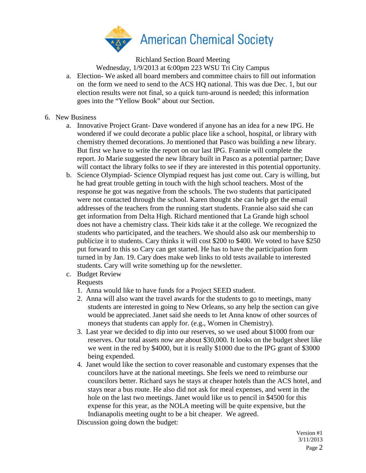

Richland Section Board Meeting

Wednesday, 1/9/2013 at 6:00pm 223 WSU Tri City Campus

a. Election- We asked all board members and committee chairs to fill out information on the form we need to send to the ACS HQ national. This was due Dec. 1, but our election results were not final, so a quick turn-around is needed; this information goes into the "Yellow Book" about our Section.

## 6. New Business

- a. Innovative Project Grant- Dave wondered if anyone has an idea for a new IPG. He wondered if we could decorate a public place like a school, hospital, or library with chemistry themed decorations. Jo mentioned that Pasco was building a new library. But first we have to write the report on our last IPG. Frannie will complete the report. Jo Marie suggested the new library built in Pasco as a potential partner; Dave will contact the library folks to see if they are interested in this potential opportunity.
- b. Science Olympiad- Science Olympiad request has just come out. Cary is willing, but he had great trouble getting in touch with the high school teachers. Most of the response he got was negative from the schools. The two students that participated were not contacted through the school. Karen thought she can help get the email addresses of the teachers from the running start students. Frannie also said she can get information from Delta High. Richard mentioned that La Grande high school does not have a chemistry class. Their kids take it at the college. We recognized the students who participated, and the teachers. We should also ask our membership to publicize it to students. Cary thinks it will cost \$200 to \$400. We voted to have \$250 put forward to this so Cary can get started. He has to have the participation form turned in by Jan. 19. Cary does make web links to old tests available to interested students. Cary will write something up for the newsletter.
- c. Budget Review

## Requests

- 1. Anna would like to have funds for a Project SEED student.
- 2. Anna will also want the travel awards for the students to go to meetings, many students are interested in going to New Orleans, so any help the section can give would be appreciated. Janet said she needs to let Anna know of other sources of moneys that students can apply for. (e.g., Women in Chemistry).
- 3. Last year we decided to dip into our reserves, so we used about \$1000 from our reserves. Our total assets now are about \$30,000. It looks on the budget sheet like we went in the red by \$4000, but it is really \$1000 due to the IPG grant of \$3000 being expended.
- 4. Janet would like the section to cover reasonable and customary expenses that the councilors have at the national meetings. She feels we need to reimburse our councilors better. Richard says he stays at cheaper hotels than the ACS hotel, and stays near a bus route. He also did not ask for meal expenses, and went in the hole on the last two meetings. Janet would like us to pencil in \$4500 for this expense for this year, as the NOLA meeting will be quite expensive, but the Indianapolis meeting ought to be a bit cheaper. We agreed.

Discussion going down the budget: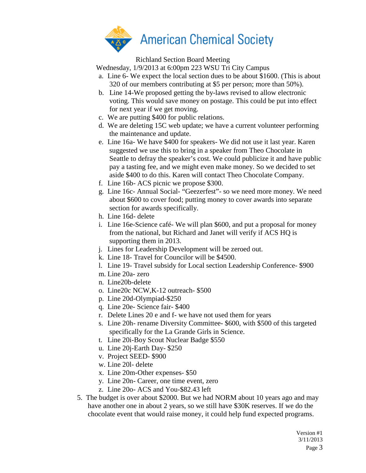

Richland Section Board Meeting

Wednesday, 1/9/2013 at 6:00pm 223 WSU Tri City Campus

- a. Line 6- We expect the local section dues to be about \$1600. (This is about 320 of our members contributing at \$5 per person; more than 50%).
- b. Line 14-We proposed getting the by-laws revised to allow electronic voting. This would save money on postage. This could be put into effect for next year if we get moving.
- c. We are putting \$400 for public relations.
- d. We are deleting 15C web update; we have a current volunteer performing the maintenance and update.
- e. Line 16a- We have \$400 for speakers- We did not use it last year. Karen suggested we use this to bring in a speaker from Theo Chocolate in Seattle to defray the speaker's cost. We could publicize it and have public pay a tasting fee, and we might even make money. So we decided to set aside \$400 to do this. Karen will contact Theo Chocolate Company.
- f. Line 16b- ACS picnic we propose \$300.
- g. Line 16c- Annual Social- "Geezerfest"- so we need more money. We need about \$600 to cover food; putting money to cover awards into separate section for awards specifically.
- h. Line 16d- delete
- i. Line 16e-Science café- We will plan \$600, and put a proposal for money from the national, but Richard and Janet will verify if ACS HQ is supporting them in 2013.
- j. Lines for Leadership Development will be zeroed out.
- k. Line 18- Travel for Councilor will be \$4500.
- l. Line 19- Travel subsidy for Local section Leadership Conference- \$900
- m. Line 20a- zero
- n. Line20b-delete
- o. Line20c NCW,K-12 outreach- \$500
- p. Line 20d-Olympiad-\$250
- q. Line 20e- Science fair- \$400
- r. Delete Lines 20 e and f- we have not used them for years
- s. Line 20h- rename Diversity Committee- \$600, with \$500 of this targeted specifically for the La Grande Girls in Science.
- t. Line 20i-Boy Scout Nuclear Badge \$550
- u. Line 20j-Earth Day- \$250
- v. Project SEED- \$900
- w. Line 20l- delete
- x. Line 20m-Other expenses- \$50
- y. Line 20n- Career, one time event, zero
- z. Line 20o- ACS and You-\$82.43 left
- 5. The budget is over about \$2000. But we had NORM about 10 years ago and may have another one in about 2 years, so we still have \$30K reserves. If we do the chocolate event that would raise money, it could help fund expected programs.